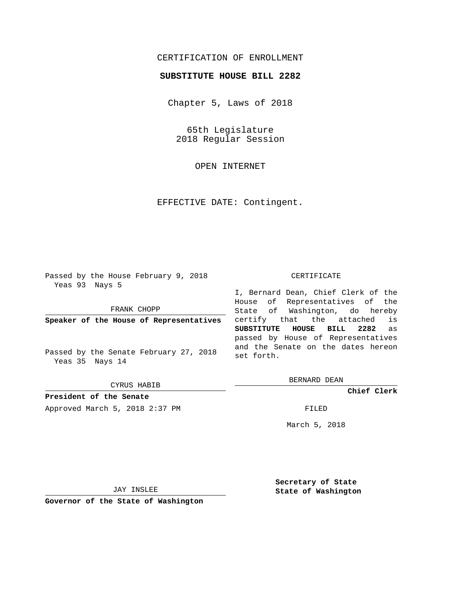# CERTIFICATION OF ENROLLMENT

## **SUBSTITUTE HOUSE BILL 2282**

Chapter 5, Laws of 2018

65th Legislature 2018 Regular Session

OPEN INTERNET

EFFECTIVE DATE: Contingent.

Passed by the House February 9, 2018 Yeas 93 Nays 5

FRANK CHOPP

**Speaker of the House of Representatives**

Passed by the Senate February 27, 2018 Yeas 35 Nays 14

CYRUS HABIB

**President of the Senate**

Approved March 5, 2018 2:37 PM FILED

#### CERTIFICATE

I, Bernard Dean, Chief Clerk of the House of Representatives of the State of Washington, do hereby certify that the attached is **SUBSTITUTE HOUSE BILL 2282** as passed by House of Representatives and the Senate on the dates hereon set forth.

BERNARD DEAN

**Chief Clerk**

March 5, 2018

JAY INSLEE

**Governor of the State of Washington**

**Secretary of State State of Washington**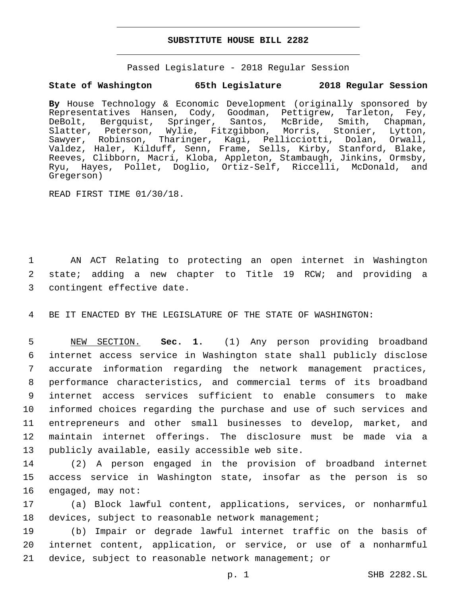## **SUBSTITUTE HOUSE BILL 2282**

Passed Legislature - 2018 Regular Session

## **State of Washington 65th Legislature 2018 Regular Session**

**By** House Technology & Economic Development (originally sponsored by Representatives Hansen, Cody, Goodman, Pettigrew, Tarleton, Fey, DeBolt, Bergquist, Springer, Santos, McBride, Smith, Chapman, Slatter, Peterson, Wylie, Fitzgibbon, Morris, Stonier, Lytton, Sawyer, Robinson, Tharinger, Kagi, Pellicciotti, Dolan, Orwall, Valdez, Haler, Kilduff, Senn, Frame, Sells, Kirby, Stanford, Blake, Reeves, Clibborn, Macri, Kloba, Appleton, Stambaugh, Jinkins, Ormsby, Ryu, Hayes, Pollet, Doglio, Ortiz-Self, Riccelli, McDonald, and Gregerson)

READ FIRST TIME 01/30/18.

1 AN ACT Relating to protecting an open internet in Washington 2 state; adding a new chapter to Title 19 RCW; and providing a 3 contingent effective date.

4 BE IT ENACTED BY THE LEGISLATURE OF THE STATE OF WASHINGTON:

 NEW SECTION. **Sec. 1.** (1) Any person providing broadband internet access service in Washington state shall publicly disclose accurate information regarding the network management practices, performance characteristics, and commercial terms of its broadband internet access services sufficient to enable consumers to make informed choices regarding the purchase and use of such services and entrepreneurs and other small businesses to develop, market, and maintain internet offerings. The disclosure must be made via a publicly available, easily accessible web site.

14 (2) A person engaged in the provision of broadband internet 15 access service in Washington state, insofar as the person is so 16 engaged, may not:

17 (a) Block lawful content, applications, services, or nonharmful 18 devices, subject to reasonable network management;

19 (b) Impair or degrade lawful internet traffic on the basis of 20 internet content, application, or service, or use of a nonharmful 21 device, subject to reasonable network management; or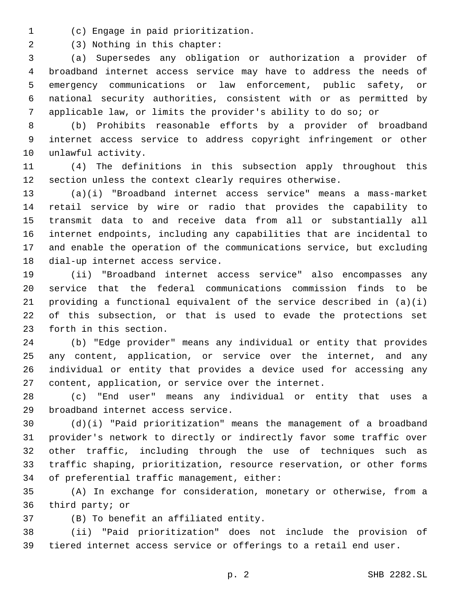(c) Engage in paid prioritization.1

(3) Nothing in this chapter:2

 (a) Supersedes any obligation or authorization a provider of broadband internet access service may have to address the needs of emergency communications or law enforcement, public safety, or national security authorities, consistent with or as permitted by applicable law, or limits the provider's ability to do so; or

 (b) Prohibits reasonable efforts by a provider of broadband internet access service to address copyright infringement or other 10 unlawful activity.

 (4) The definitions in this subsection apply throughout this section unless the context clearly requires otherwise.

 (a)(i) "Broadband internet access service" means a mass-market retail service by wire or radio that provides the capability to transmit data to and receive data from all or substantially all internet endpoints, including any capabilities that are incidental to and enable the operation of the communications service, but excluding 18 dial-up internet access service.

 (ii) "Broadband internet access service" also encompasses any service that the federal communications commission finds to be providing a functional equivalent of the service described in (a)(i) of this subsection, or that is used to evade the protections set 23 forth in this section.

 (b) "Edge provider" means any individual or entity that provides any content, application, or service over the internet, and any individual or entity that provides a device used for accessing any content, application, or service over the internet.

 (c) "End user" means any individual or entity that uses a 29 broadband internet access service.

 (d)(i) "Paid prioritization" means the management of a broadband provider's network to directly or indirectly favor some traffic over other traffic, including through the use of techniques such as traffic shaping, prioritization, resource reservation, or other forms 34 of preferential traffic management, either:

 (A) In exchange for consideration, monetary or otherwise, from a 36 third party; or

(B) To benefit an affiliated entity.37

 (ii) "Paid prioritization" does not include the provision of tiered internet access service or offerings to a retail end user.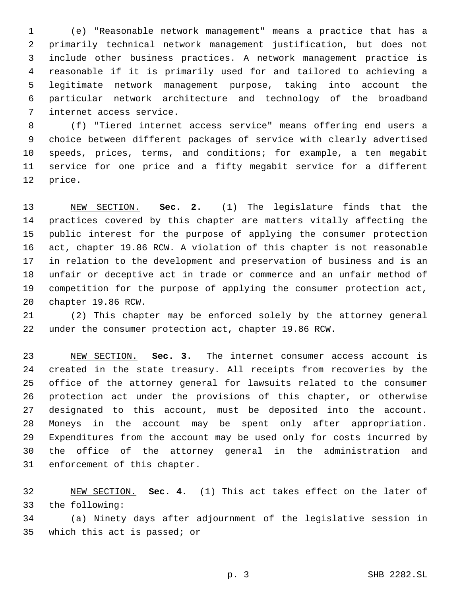(e) "Reasonable network management" means a practice that has a primarily technical network management justification, but does not include other business practices. A network management practice is reasonable if it is primarily used for and tailored to achieving a legitimate network management purpose, taking into account the particular network architecture and technology of the broadband 7 internet access service.

 (f) "Tiered internet access service" means offering end users a choice between different packages of service with clearly advertised speeds, prices, terms, and conditions; for example, a ten megabit service for one price and a fifty megabit service for a different 12 price.

 NEW SECTION. **Sec. 2.** (1) The legislature finds that the practices covered by this chapter are matters vitally affecting the public interest for the purpose of applying the consumer protection act, chapter 19.86 RCW. A violation of this chapter is not reasonable in relation to the development and preservation of business and is an unfair or deceptive act in trade or commerce and an unfair method of competition for the purpose of applying the consumer protection act, chapter 19.86 RCW.

 (2) This chapter may be enforced solely by the attorney general under the consumer protection act, chapter 19.86 RCW.

 NEW SECTION. **Sec. 3.** The internet consumer access account is created in the state treasury. All receipts from recoveries by the office of the attorney general for lawsuits related to the consumer protection act under the provisions of this chapter, or otherwise designated to this account, must be deposited into the account. Moneys in the account may be spent only after appropriation. Expenditures from the account may be used only for costs incurred by the office of the attorney general in the administration and enforcement of this chapter.

 NEW SECTION. **Sec. 4.** (1) This act takes effect on the later of the following:

 (a) Ninety days after adjournment of the legislative session in 35 which this act is passed; or